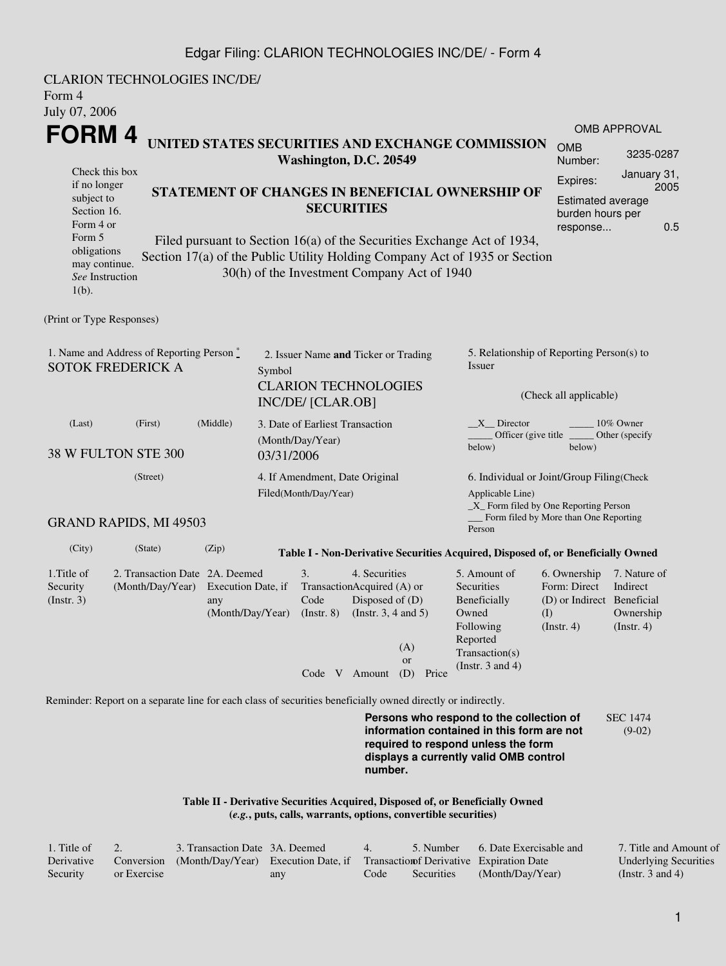## Edgar Filing: CLARION TECHNOLOGIES INC/DE/ - Form 4

| Form 4<br>July 07, 2006                                               | <b>CLARION TECHNOLOGIES INC/DE/</b>                |                                                                      |                                                |                                                                   |                                                                                                                                                                                                      |                                                                                                                                                                         |                                                                                       |                                                           |  |  |
|-----------------------------------------------------------------------|----------------------------------------------------|----------------------------------------------------------------------|------------------------------------------------|-------------------------------------------------------------------|------------------------------------------------------------------------------------------------------------------------------------------------------------------------------------------------------|-------------------------------------------------------------------------------------------------------------------------------------------------------------------------|---------------------------------------------------------------------------------------|-----------------------------------------------------------|--|--|
| FORM 4                                                                |                                                    |                                                                      |                                                |                                                                   |                                                                                                                                                                                                      |                                                                                                                                                                         |                                                                                       | <b>OMB APPROVAL</b>                                       |  |  |
| Check this box                                                        | UNITED STATES SECURITIES AND EXCHANGE COMMISSION   |                                                                      |                                                | Washington, D.C. 20549                                            | <b>OMB</b><br>Number:                                                                                                                                                                                | 3235-0287<br>January 31,                                                                                                                                                |                                                                                       |                                                           |  |  |
| if no longer<br>subject to<br>Section 16.<br>Form 4 or                |                                                    | STATEMENT OF CHANGES IN BENEFICIAL OWNERSHIP OF<br><b>SECURITIES</b> |                                                |                                                                   |                                                                                                                                                                                                      |                                                                                                                                                                         |                                                                                       |                                                           |  |  |
| Form 5<br>obligations<br>may continue.<br>See Instruction<br>$1(b)$ . |                                                    |                                                                      |                                                |                                                                   | Filed pursuant to Section 16(a) of the Securities Exchange Act of 1934,<br>Section 17(a) of the Public Utility Holding Company Act of 1935 or Section<br>30(h) of the Investment Company Act of 1940 |                                                                                                                                                                         |                                                                                       |                                                           |  |  |
| (Print or Type Responses)                                             |                                                    |                                                                      |                                                |                                                                   |                                                                                                                                                                                                      |                                                                                                                                                                         |                                                                                       |                                                           |  |  |
| 1. Name and Address of Reporting Person *<br><b>SOTOK FREDERICK A</b> |                                                    |                                                                      | 2. Issuer Name and Ticker or Trading<br>Symbol |                                                                   |                                                                                                                                                                                                      | 5. Relationship of Reporting Person(s) to<br>Issuer                                                                                                                     |                                                                                       |                                                           |  |  |
|                                                                       |                                                    |                                                                      |                                                | <b>INC/DE/ [CLAR.OB]</b>                                          | <b>CLARION TECHNOLOGIES</b>                                                                                                                                                                          | (Check all applicable)                                                                                                                                                  |                                                                                       |                                                           |  |  |
| (Middle)<br>(Last)<br>(First)<br>38 W FULTON STE 300                  |                                                    |                                                                      |                                                | 3. Date of Earliest Transaction<br>(Month/Day/Year)<br>03/31/2006 |                                                                                                                                                                                                      | $X$ Director<br>10% Owner<br>Officer (give title)<br>Other (specify<br>below)<br>below)                                                                                 |                                                                                       |                                                           |  |  |
| (Street)                                                              |                                                    |                                                                      |                                                | Filed(Month/Day/Year)                                             | 4. If Amendment, Date Original                                                                                                                                                                       | 6. Individual or Joint/Group Filing(Check<br>Applicable Line)<br>_X_ Form filed by One Reporting Person                                                                 |                                                                                       |                                                           |  |  |
|                                                                       | <b>GRAND RAPIDS, MI 49503</b>                      |                                                                      |                                                |                                                                   |                                                                                                                                                                                                      | Person                                                                                                                                                                  | Form filed by More than One Reporting                                                 |                                                           |  |  |
| (City)                                                                | (State)                                            | (Zip)                                                                |                                                |                                                                   | Table I - Non-Derivative Securities Acquired, Disposed of, or Beneficially Owned                                                                                                                     |                                                                                                                                                                         |                                                                                       |                                                           |  |  |
| 1. Title of<br>Security<br>$($ Instr. 3 $)$                           | 2. Transaction Date 2A. Deemed<br>(Month/Day/Year) | Execution Date, if<br>any<br>(Month/Day/Year) (Instr. 8)             |                                                | 3.<br>Code                                                        | 4. Securities<br>TransactionAcquired (A) or<br>Disposed of $(D)$<br>(Instr. $3, 4$ and $5$ )<br>(A)<br><b>or</b>                                                                                     | 5. Amount of<br>Securities<br>Beneficially<br>Owned<br>Following<br>Reported<br>Transaction(s)<br>(Instr. $3$ and $4$ )                                                 | 6. Ownership<br>Form: Direct<br>(D) or Indirect Beneficial<br>(I)<br>$($ Instr. 4 $)$ | 7. Nature of<br>Indirect<br>Ownership<br>$($ Instr. 4 $)$ |  |  |
|                                                                       |                                                    |                                                                      |                                                | Code V Amount                                                     | (D)<br>Price                                                                                                                                                                                         |                                                                                                                                                                         |                                                                                       |                                                           |  |  |
|                                                                       |                                                    |                                                                      |                                                |                                                                   | Reminder: Report on a separate line for each class of securities beneficially owned directly or indirectly.                                                                                          |                                                                                                                                                                         |                                                                                       |                                                           |  |  |
|                                                                       |                                                    |                                                                      |                                                |                                                                   | number.                                                                                                                                                                                              | Persons who respond to the collection of<br>information contained in this form are not<br>required to respond unless the form<br>displays a currently valid OMB control |                                                                                       | <b>SEC 1474</b><br>$(9-02)$                               |  |  |
|                                                                       |                                                    |                                                                      |                                                |                                                                   | Table II - Derivative Securities Acquired, Disposed of, or Beneficially Owned                                                                                                                        |                                                                                                                                                                         |                                                                                       |                                                           |  |  |

**(***e.g.***, puts, calls, warrants, options, convertible securities)**

| $\therefore$ Title of |             | 3. Transaction Date 3A, Deemed                                                           |     | $\overline{4}$ | 5. Number  | 6. Date Exercisable and | 7. Title and Amount of |
|-----------------------|-------------|------------------------------------------------------------------------------------------|-----|----------------|------------|-------------------------|------------------------|
| Derivative            |             | Conversion (Month/Day/Year) Execution Date, if Transaction of Derivative Expiration Date |     |                |            |                         | Underlying Securities  |
| Security              | or Exercise |                                                                                          | any | Code           | Securities | (Month/Day/Year)        | (Instr. $3$ and $4$ )  |